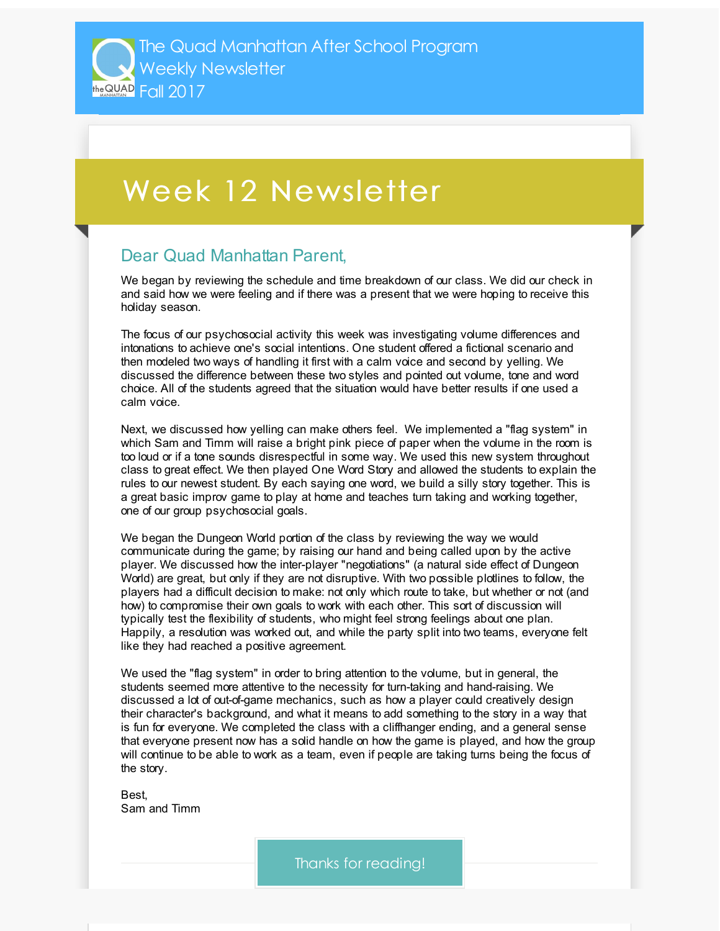## Week 12 Newsletter

## Dear Quad Manhattan Parent,

We began by reviewing the schedule and time breakdown of our class. We did our check in and said how we were feeling and if there was a present that we were hoping to receive this holiday season.

The focus of our psychosocial activity this week was investigating volume differences and intonations to achieve one's social intentions. One student offered a fictional scenario and then modeled two ways of handling it first with a calm voice and second by yelling. We discussed the difference between these two styles and pointed out volume, tone and word choice. All of the students agreed that the situation would have better results if one used a calm voice.

Next, we discussed how yelling can make others feel. We implemented a "flag system" in which Sam and Timm will raise a bright pink piece of paper when the volume in the room is too loud or if a tone sounds disrespectful in some way. We used this new system throughout class to great effect. We then played One Word Story and allowed the students to explain the rules to our newest student. By each saying one word, we build a silly story together. This is a great basic improv game to play at home and teaches turn taking and working together, one of our group psychosocial goals.

We began the Dungeon World portion of the class by reviewing the way we would communicate during the game; by raising our hand and being called upon by the active player. We discussed how the inter-player "negotiations" (a natural side effect of Dungeon World) are great, but only if they are not disruptive. With two possible plotlines to follow, the players had a difficult decision to make: not only which route to take, but whether or not (and how) to compromise their own goals to work with each other. This sort of discussion will typically test the flexibility of students, who might feel strong feelings about one plan. Happily, a resolution was worked out, and while the party split into two teams, everyone felt like they had reached a positive agreement.

We used the "flag system" in order to bring attention to the volume, but in general, the students seemed more attentive to the necessity for turn-taking and hand-raising. We discussed a lot of out-of-game mechanics, such as how a player could creatively design their character's background, and what it means to add something to the story in a way that is fun for everyone. We completed the class with a cliffhanger ending, and a general sense that everyone present now has a solid handle on how the game is played, and how the group will continue to be able to work as a team, even if people are taking turns being the focus of the story.

Best, Sam and Timm

Thanks for reading!